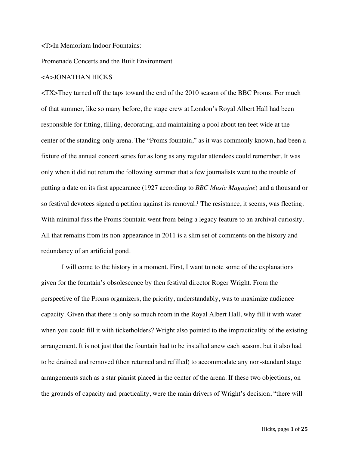<T>In Memoriam Indoor Fountains:

Promenade Concerts and the Built Environment

## <A>JONATHAN HICKS

<TX>They turned off the taps toward the end of the 2010 season of the BBC Proms. For much of that summer, like so many before, the stage crew at London's Royal Albert Hall had been responsible for fitting, filling, decorating, and maintaining a pool about ten feet wide at the center of the standing-only arena. The "Proms fountain," as it was commonly known, had been a fixture of the annual concert series for as long as any regular attendees could remember. It was only when it did not return the following summer that a few journalists went to the trouble of putting a date on its first appearance (1927 according to *BBC Music Magazine*) and a thousand or so festival devotees signed a petition against its removal.<sup>1</sup> The resistance, it seems, was fleeting. With minimal fuss the Proms fountain went from being a legacy feature to an archival curiosity. All that remains from its non-appearance in 2011 is a slim set of comments on the history and redundancy of an artificial pond.

I will come to the history in a moment. First, I want to note some of the explanations given for the fountain's obsolescence by then festival director Roger Wright. From the perspective of the Proms organizers, the priority, understandably, was to maximize audience capacity. Given that there is only so much room in the Royal Albert Hall, why fill it with water when you could fill it with ticketholders? Wright also pointed to the impracticality of the existing arrangement. It is not just that the fountain had to be installed anew each season, but it also had to be drained and removed (then returned and refilled) to accommodate any non-standard stage arrangements such as a star pianist placed in the center of the arena. If these two objections, on the grounds of capacity and practicality, were the main drivers of Wright's decision, "there will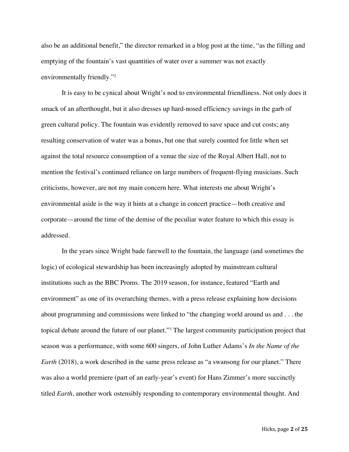also be an additional benefit," the director remarked in a blog post at the time, "as the filling and emptying of the fountain's vast quantities of water over a summer was not exactly environmentally friendly."2

It is easy to be cynical about Wright's nod to environmental friendliness. Not only does it smack of an afterthought, but it also dresses up hard-nosed efficiency savings in the garb of green cultural policy. The fountain was evidently removed to save space and cut costs; any resulting conservation of water was a bonus, but one that surely counted for little when set against the total resource consumption of a venue the size of the Royal Albert Hall, not to mention the festival's continued reliance on large numbers of frequent-flying musicians. Such criticisms, however, are not my main concern here. What interests me about Wright's environmental aside is the way it hints at a change in concert practice—both creative and corporate—around the time of the demise of the peculiar water feature to which this essay is addressed.

In the years since Wright bade farewell to the fountain, the language (and sometimes the logic) of ecological stewardship has been increasingly adopted by mainstream cultural institutions such as the BBC Proms. The 2019 season, for instance, featured "Earth and environment" as one of its overarching themes, with a press release explaining how decisions about programming and commissions were linked to "the changing world around us and . . . the topical debate around the future of our planet."3 The largest community participation project that season was a performance, with some 600 singers, of John Luther Adams's *In the Name of the Earth* (2018), a work described in the same press release as "a swansong for our planet." There was also a world premiere (part of an early-year's event) for Hans Zimmer's more succinctly titled *Earth*, another work ostensibly responding to contemporary environmental thought. And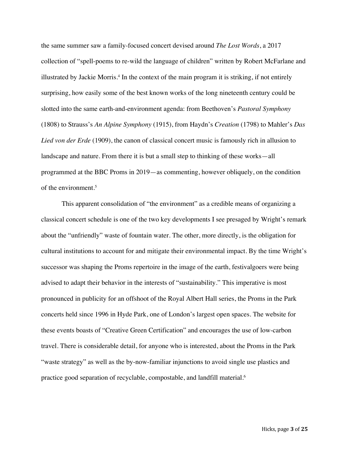the same summer saw a family-focused concert devised around *The Lost Words*, a 2017 collection of "spell-poems to re-wild the language of children" written by Robert McFarlane and illustrated by Jackie Morris.4 In the context of the main program it is striking, if not entirely surprising, how easily some of the best known works of the long nineteenth century could be slotted into the same earth-and-environment agenda: from Beethoven's *Pastoral Symphony* (1808) to Strauss's *An Alpine Symphony* (1915), from Haydn's *Creation* (1798) to Mahler's *Das Lied von der Erde* (1909), the canon of classical concert music is famously rich in allusion to landscape and nature. From there it is but a small step to thinking of these works—all programmed at the BBC Proms in 2019—as commenting, however obliquely, on the condition of the environment.5

This apparent consolidation of "the environment" as a credible means of organizing a classical concert schedule is one of the two key developments I see presaged by Wright's remark about the "unfriendly" waste of fountain water. The other, more directly, is the obligation for cultural institutions to account for and mitigate their environmental impact. By the time Wright's successor was shaping the Proms repertoire in the image of the earth, festivalgoers were being advised to adapt their behavior in the interests of "sustainability." This imperative is most pronounced in publicity for an offshoot of the Royal Albert Hall series, the Proms in the Park concerts held since 1996 in Hyde Park, one of London's largest open spaces. The website for these events boasts of "Creative Green Certification" and encourages the use of low-carbon travel. There is considerable detail, for anyone who is interested, about the Proms in the Park "waste strategy" as well as the by-now-familiar injunctions to avoid single use plastics and practice good separation of recyclable, compostable, and landfill material.6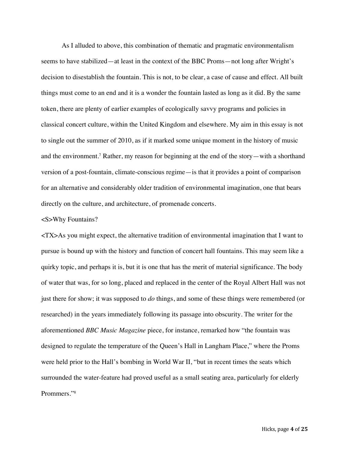As I alluded to above, this combination of thematic and pragmatic environmentalism seems to have stabilized—at least in the context of the BBC Proms—not long after Wright's decision to disestablish the fountain. This is not, to be clear, a case of cause and effect. All built things must come to an end and it is a wonder the fountain lasted as long as it did. By the same token, there are plenty of earlier examples of ecologically savvy programs and policies in classical concert culture, within the United Kingdom and elsewhere. My aim in this essay is not to single out the summer of 2010, as if it marked some unique moment in the history of music and the environment.7 Rather, my reason for beginning at the end of the story—with a shorthand version of a post-fountain, climate-conscious regime—is that it provides a point of comparison for an alternative and considerably older tradition of environmental imagination, one that bears directly on the culture, and architecture, of promenade concerts.

## <S>Why Fountains?

<TX>As you might expect, the alternative tradition of environmental imagination that I want to pursue is bound up with the history and function of concert hall fountains. This may seem like a quirky topic, and perhaps it is, but it is one that has the merit of material significance. The body of water that was, for so long, placed and replaced in the center of the Royal Albert Hall was not just there for show; it was supposed to *do* things, and some of these things were remembered (or researched) in the years immediately following its passage into obscurity. The writer for the aforementioned *BBC Music Magazine* piece, for instance, remarked how "the fountain was designed to regulate the temperature of the Queen's Hall in Langham Place," where the Proms were held prior to the Hall's bombing in World War II, "but in recent times the seats which surrounded the water-feature had proved useful as a small seating area, particularly for elderly Prommers."8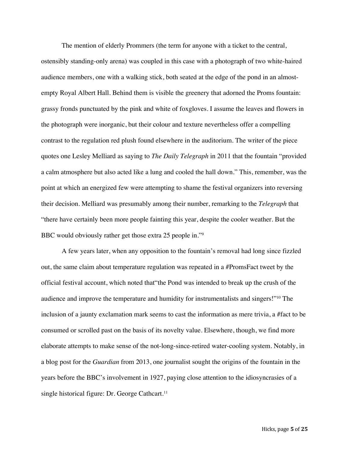The mention of elderly Prommers (the term for anyone with a ticket to the central, ostensibly standing-only arena) was coupled in this case with a photograph of two white-haired audience members, one with a walking stick, both seated at the edge of the pond in an almostempty Royal Albert Hall. Behind them is visible the greenery that adorned the Proms fountain: grassy fronds punctuated by the pink and white of foxgloves. I assume the leaves and flowers in the photograph were inorganic, but their colour and texture nevertheless offer a compelling contrast to the regulation red plush found elsewhere in the auditorium. The writer of the piece quotes one Lesley Melliard as saying to *The Daily Telegraph* in 2011 that the fountain "provided a calm atmosphere but also acted like a lung and cooled the hall down." This, remember, was the point at which an energized few were attempting to shame the festival organizers into reversing their decision. Melliard was presumably among their number, remarking to the *Telegraph* that "there have certainly been more people fainting this year, despite the cooler weather. But the BBC would obviously rather get those extra 25 people in."<sup>9</sup>

A few years later, when any opposition to the fountain's removal had long since fizzled out, the same claim about temperature regulation was repeated in a #PromsFact tweet by the official festival account, which noted that"the Pond was intended to break up the crush of the audience and improve the temperature and humidity for instrumentalists and singers!"10 The inclusion of a jaunty exclamation mark seems to cast the information as mere trivia, a #fact to be consumed or scrolled past on the basis of its novelty value. Elsewhere, though, we find more elaborate attempts to make sense of the not-long-since-retired water-cooling system. Notably, in a blog post for the *Guardian* from 2013, one journalist sought the origins of the fountain in the years before the BBC's involvement in 1927, paying close attention to the idiosyncrasies of a single historical figure: Dr. George Cathcart. 11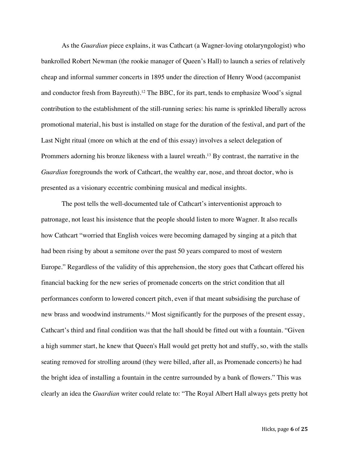As the *Guardian* piece explains, it was Cathcart (a Wagner-loving otolaryngologist) who bankrolled Robert Newman (the rookie manager of Queen's Hall) to launch a series of relatively cheap and informal summer concerts in 1895 under the direction of Henry Wood (accompanist and conductor fresh from Bayreuth).<sup>12</sup> The BBC, for its part, tends to emphasize Wood's signal contribution to the establishment of the still-running series: his name is sprinkled liberally across promotional material, his bust is installed on stage for the duration of the festival, and part of the Last Night ritual (more on which at the end of this essay) involves a select delegation of Prommers adorning his bronze likeness with a laurel wreath.<sup>13</sup> By contrast, the narrative in the *Guardian* foregrounds the work of Cathcart, the wealthy ear, nose, and throat doctor, who is presented as a visionary eccentric combining musical and medical insights.

The post tells the well-documented tale of Cathcart's interventionist approach to patronage, not least his insistence that the people should listen to more Wagner. It also recalls how Cathcart "worried that English voices were becoming damaged by singing at a pitch that had been rising by about a semitone over the past 50 years compared to most of western Europe." Regardless of the validity of this apprehension, the story goes that Cathcart offered his financial backing for the new series of promenade concerts on the strict condition that all performances conform to lowered concert pitch, even if that meant subsidising the purchase of new brass and woodwind instruments.14 Most significantly for the purposes of the present essay, Cathcart's third and final condition was that the hall should be fitted out with a fountain. "Given a high summer start, he knew that Queen's Hall would get pretty hot and stuffy, so, with the stalls seating removed for strolling around (they were billed, after all, as Promenade concerts) he had the bright idea of installing a fountain in the centre surrounded by a bank of flowers." This was clearly an idea the *Guardian* writer could relate to: "The Royal Albert Hall always gets pretty hot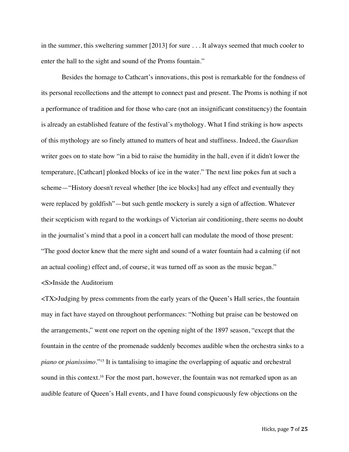in the summer, this sweltering summer [2013] for sure . . . It always seemed that much cooler to enter the hall to the sight and sound of the Proms fountain."

Besides the homage to Cathcart's innovations, this post is remarkable for the fondness of its personal recollections and the attempt to connect past and present. The Proms is nothing if not a performance of tradition and for those who care (not an insignificant constituency) the fountain is already an established feature of the festival's mythology. What I find striking is how aspects of this mythology are so finely attuned to matters of heat and stuffiness. Indeed, the *Guardian*  writer goes on to state how "in a bid to raise the humidity in the hall, even if it didn't lower the temperature, [Cathcart] plonked blocks of ice in the water." The next line pokes fun at such a scheme—"History doesn't reveal whether [the ice blocks] had any effect and eventually they were replaced by goldfish"—but such gentle mockery is surely a sign of affection. Whatever their scepticism with regard to the workings of Victorian air conditioning, there seems no doubt in the journalist's mind that a pool in a concert hall can modulate the mood of those present: "The good doctor knew that the mere sight and sound of a water fountain had a calming (if not an actual cooling) effect and, of course, it was turned off as soon as the music began." <S>Inside the Auditorium

<TX>Judging by press comments from the early years of the Queen's Hall series, the fountain may in fact have stayed on throughout performances: "Nothing but praise can be bestowed on the arrangements," went one report on the opening night of the 1897 season, "except that the fountain in the centre of the promenade suddenly becomes audible when the orchestra sinks to a *piano* or *pianissimo*."15 It is tantalising to imagine the overlapping of aquatic and orchestral sound in this context.<sup>16</sup> For the most part, however, the fountain was not remarked upon as an audible feature of Queen's Hall events, and I have found conspicuously few objections on the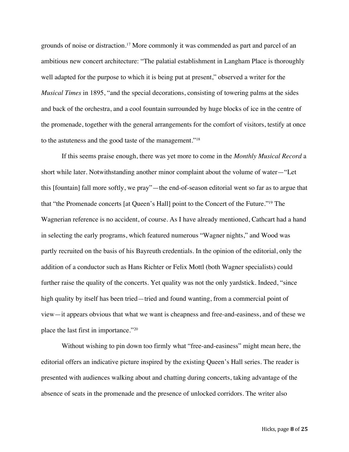grounds of noise or distraction.17 More commonly it was commended as part and parcel of an ambitious new concert architecture: "The palatial establishment in Langham Place is thoroughly well adapted for the purpose to which it is being put at present," observed a writer for the *Musical Times* in 1895, "and the special decorations, consisting of towering palms at the sides and back of the orchestra, and a cool fountain surrounded by huge blocks of ice in the centre of the promenade, together with the general arrangements for the comfort of visitors, testify at once to the astuteness and the good taste of the management."18

If this seems praise enough, there was yet more to come in the *Monthly Musical Record* a short while later. Notwithstanding another minor complaint about the volume of water—"Let this [fountain] fall more softly, we pray"—the end-of-season editorial went so far as to argue that that "the Promenade concerts [at Queen's Hall] point to the Concert of the Future."19 The Wagnerian reference is no accident, of course. As I have already mentioned, Cathcart had a hand in selecting the early programs, which featured numerous "Wagner nights," and Wood was partly recruited on the basis of his Bayreuth credentials. In the opinion of the editorial, only the addition of a conductor such as Hans Richter or Felix Mottl (both Wagner specialists) could further raise the quality of the concerts. Yet quality was not the only yardstick. Indeed, "since high quality by itself has been tried—tried and found wanting, from a commercial point of view—it appears obvious that what we want is cheapness and free-and-easiness, and of these we place the last first in importance."20

Without wishing to pin down too firmly what "free-and-easiness" might mean here, the editorial offers an indicative picture inspired by the existing Queen's Hall series. The reader is presented with audiences walking about and chatting during concerts, taking advantage of the absence of seats in the promenade and the presence of unlocked corridors. The writer also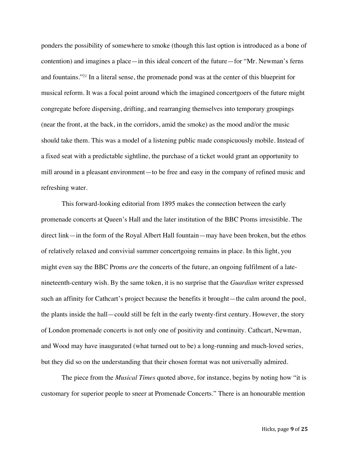ponders the possibility of somewhere to smoke (though this last option is introduced as a bone of contention) and imagines a place—in this ideal concert of the future—for "Mr. Newman's ferns and fountains."21 In a literal sense, the promenade pond was at the center of this blueprint for musical reform. It was a focal point around which the imagined concertgoers of the future might congregate before dispersing, drifting, and rearranging themselves into temporary groupings (near the front, at the back, in the corridors, amid the smoke) as the mood and/or the music should take them. This was a model of a listening public made conspicuously mobile. Instead of a fixed seat with a predictable sightline, the purchase of a ticket would grant an opportunity to mill around in a pleasant environment—to be free and easy in the company of refined music and refreshing water.

This forward-looking editorial from 1895 makes the connection between the early promenade concerts at Queen's Hall and the later institution of the BBC Proms irresistible. The direct link—in the form of the Royal Albert Hall fountain—may have been broken, but the ethos of relatively relaxed and convivial summer concertgoing remains in place. In this light, you might even say the BBC Proms *are* the concerts of the future, an ongoing fulfilment of a latenineteenth-century wish. By the same token, it is no surprise that the *Guardian* writer expressed such an affinity for Cathcart's project because the benefits it brought—the calm around the pool, the plants inside the hall—could still be felt in the early twenty-first century. However, the story of London promenade concerts is not only one of positivity and continuity. Cathcart, Newman, and Wood may have inaugurated (what turned out to be) a long-running and much-loved series, but they did so on the understanding that their chosen format was not universally admired.

The piece from the *Musical Times* quoted above, for instance, begins by noting how "it is customary for superior people to sneer at Promenade Concerts." There is an honourable mention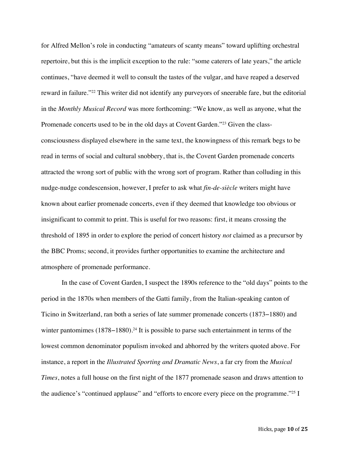for Alfred Mellon's role in conducting "amateurs of scanty means" toward uplifting orchestral repertoire, but this is the implicit exception to the rule: "some caterers of late years," the article continues, "have deemed it well to consult the tastes of the vulgar, and have reaped a deserved reward in failure."22 This writer did not identify any purveyors of sneerable fare, but the editorial in the *Monthly Musical Record* was more forthcoming: "We know, as well as anyone, what the Promenade concerts used to be in the old days at Covent Garden."23 Given the classconsciousness displayed elsewhere in the same text, the knowingness of this remark begs to be read in terms of social and cultural snobbery, that is, the Covent Garden promenade concerts attracted the wrong sort of public with the wrong sort of program. Rather than colluding in this nudge-nudge condescension, however, I prefer to ask what *fin-de-siècle* writers might have known about earlier promenade concerts, even if they deemed that knowledge too obvious or insignificant to commit to print. This is useful for two reasons: first, it means crossing the threshold of 1895 in order to explore the period of concert history *not* claimed as a precursor by the BBC Proms; second, it provides further opportunities to examine the architecture and atmosphere of promenade performance.

In the case of Covent Garden, I suspect the 1890s reference to the "old days" points to the period in the 1870s when members of the Gatti family, from the Italian-speaking canton of Ticino in Switzerland, ran both a series of late summer promenade concerts (1873−1880) and winter pantomimes (1878–1880).<sup>24</sup> It is possible to parse such entertainment in terms of the lowest common denominator populism invoked and abhorred by the writers quoted above. For instance, a report in the *Illustrated Sporting and Dramatic News*, a far cry from the *Musical Times*, notes a full house on the first night of the 1877 promenade season and draws attention to the audience's "continued applause" and "efforts to encore every piece on the programme."25 I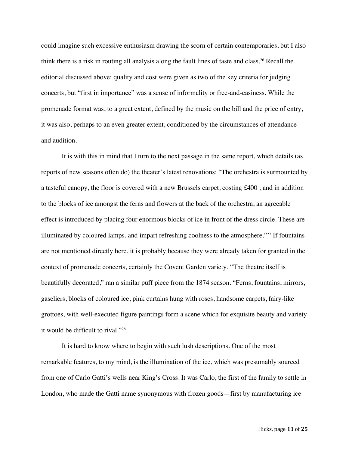could imagine such excessive enthusiasm drawing the scorn of certain contemporaries, but I also think there is a risk in routing all analysis along the fault lines of taste and class.26 Recall the editorial discussed above: quality and cost were given as two of the key criteria for judging concerts, but "first in importance" was a sense of informality or free-and-easiness. While the promenade format was, to a great extent, defined by the music on the bill and the price of entry, it was also, perhaps to an even greater extent, conditioned by the circumstances of attendance and audition.

It is with this in mind that I turn to the next passage in the same report, which details (as reports of new seasons often do) the theater's latest renovations: "The orchestra is surmounted by a tasteful canopy, the floor is covered with a new Brussels carpet, costing £400 ; and in addition to the blocks of ice amongst the ferns and flowers at the back of the orchestra, an agreeable effect is introduced by placing four enormous blocks of ice in front of the dress circle. These are illuminated by coloured lamps, and impart refreshing coolness to the atmosphere."<sup>27</sup> If fountains are not mentioned directly here, it is probably because they were already taken for granted in the context of promenade concerts, certainly the Covent Garden variety. "The theatre itself is beautifully decorated," ran a similar puff piece from the 1874 season. "Ferns, fountains, mirrors, gaseliers, blocks of coloured ice, pink curtains hung with roses, handsome carpets, fairy-like grottoes, with well-executed figure paintings form a scene which for exquisite beauty and variety it would be difficult to rival."28

It is hard to know where to begin with such lush descriptions. One of the most remarkable features, to my mind, is the illumination of the ice, which was presumably sourced from one of Carlo Gatti's wells near King's Cross. It was Carlo, the first of the family to settle in London, who made the Gatti name synonymous with frozen goods—first by manufacturing ice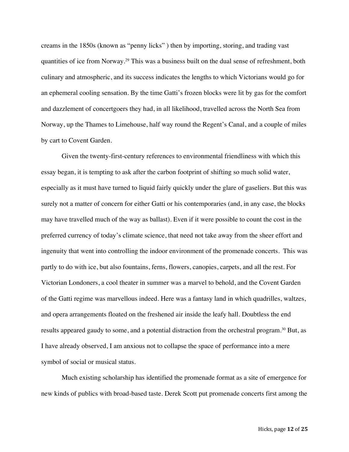creams in the 1850s (known as "penny licks" ) then by importing, storing, and trading vast quantities of ice from Norway.29 This was a business built on the dual sense of refreshment, both culinary and atmospheric, and its success indicates the lengths to which Victorians would go for an ephemeral cooling sensation. By the time Gatti's frozen blocks were lit by gas for the comfort and dazzlement of concertgoers they had, in all likelihood, travelled across the North Sea from Norway, up the Thames to Limehouse, half way round the Regent's Canal, and a couple of miles by cart to Covent Garden.

Given the twenty-first-century references to environmental friendliness with which this essay began, it is tempting to ask after the carbon footprint of shifting so much solid water, especially as it must have turned to liquid fairly quickly under the glare of gaseliers. But this was surely not a matter of concern for either Gatti or his contemporaries (and, in any case, the blocks may have travelled much of the way as ballast). Even if it were possible to count the cost in the preferred currency of today's climate science, that need not take away from the sheer effort and ingenuity that went into controlling the indoor environment of the promenade concerts. This was partly to do with ice, but also fountains, ferns, flowers, canopies, carpets, and all the rest. For Victorian Londoners, a cool theater in summer was a marvel to behold, and the Covent Garden of the Gatti regime was marvellous indeed. Here was a fantasy land in which quadrilles, waltzes, and opera arrangements floated on the freshened air inside the leafy hall. Doubtless the end results appeared gaudy to some, and a potential distraction from the orchestral program.<sup>30</sup> But, as I have already observed, I am anxious not to collapse the space of performance into a mere symbol of social or musical status.

Much existing scholarship has identified the promenade format as a site of emergence for new kinds of publics with broad-based taste. Derek Scott put promenade concerts first among the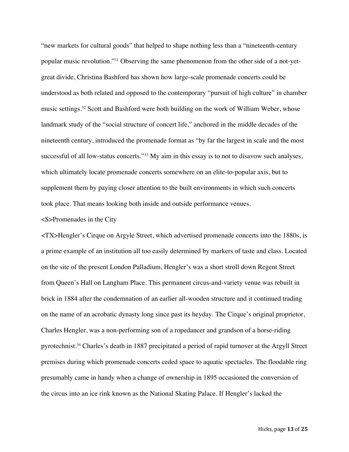"new markets for cultural goods" that helped to shape nothing less than a "nineteenth-century popular music revolution."31 Observing the same phenomenon from the other side of a not-yetgreat divide, Christina Bashford has shown how large-scale promenade concerts could be understood as both related and opposed to the contemporary "pursuit of high culture" in chamber music settings.32 Scott and Bashford were both building on the work of William Weber, whose landmark study of the "social structure of concert life," anchored in the middle decades of the nineteenth century, introduced the promenade format as "by far the largest in scale and the most successful of all low-status concerts."33 My aim in this essay is to not to disavow such analyses, which ultimately locate promenade concerts somewhere on an elite-to-popular axis, but to supplement them by paying closer attention to the built environments in which such concerts took place. That means looking both inside and outside performance venues.

## <S>Promenades in the City

<TX>Hengler's Cirque on Argyle Street, which advertised promenade concerts into the 1880s, is a prime example of an institution all too easily determined by markers of taste and class. Located on the site of the present London Palladium, Hengler's was a short stroll down Regent Street from Queen's Hall on Langham Place. This permanent circus-and-variety venue was rebuilt in brick in 1884 after the condemnation of an earlier all-wooden structure and it continued trading on the name of an acrobatic dynasty long since past its heyday. The Cirque's original proprietor, Charles Hengler, was a non-performing son of a ropedancer and grandson of a horse-riding pyrotechnist.34 Charles's death in 1887 precipitated a period of rapid turnover at the Argyll Street premises during which promenade concerts ceded space to aquatic spectacles. The floodable ring presumably came in handy when a change of ownership in 1895 occasioned the conversion of the circus into an ice rink known as the National Skating Palace. If Hengler's lacked the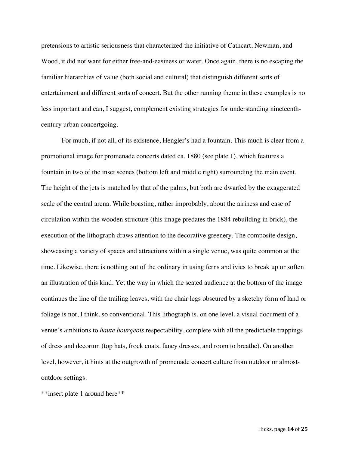pretensions to artistic seriousness that characterized the initiative of Cathcart, Newman, and Wood, it did not want for either free-and-easiness or water. Once again, there is no escaping the familiar hierarchies of value (both social and cultural) that distinguish different sorts of entertainment and different sorts of concert. But the other running theme in these examples is no less important and can, I suggest, complement existing strategies for understanding nineteenthcentury urban concertgoing.

For much, if not all, of its existence, Hengler's had a fountain. This much is clear from a promotional image for promenade concerts dated ca. 1880 (see plate 1), which features a fountain in two of the inset scenes (bottom left and middle right) surrounding the main event. The height of the jets is matched by that of the palms, but both are dwarfed by the exaggerated scale of the central arena. While boasting, rather improbably, about the airiness and ease of circulation within the wooden structure (this image predates the 1884 rebuilding in brick), the execution of the lithograph draws attention to the decorative greenery. The composite design, showcasing a variety of spaces and attractions within a single venue, was quite common at the time. Likewise, there is nothing out of the ordinary in using ferns and ivies to break up or soften an illustration of this kind. Yet the way in which the seated audience at the bottom of the image continues the line of the trailing leaves, with the chair legs obscured by a sketchy form of land or foliage is not, I think, so conventional. This lithograph is, on one level, a visual document of a venue's ambitions to *haute bourgeois* respectability, complete with all the predictable trappings of dress and decorum (top hats, frock coats, fancy dresses, and room to breathe). On another level, however, it hints at the outgrowth of promenade concert culture from outdoor or almostoutdoor settings.

\*\*insert plate 1 around here\*\*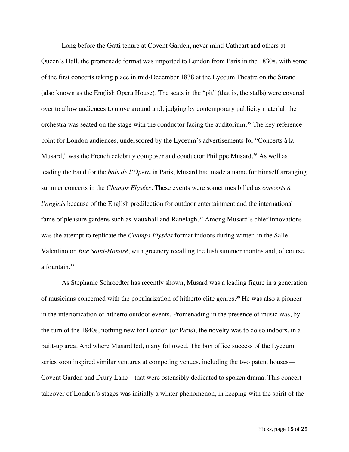Long before the Gatti tenure at Covent Garden, never mind Cathcart and others at Queen's Hall, the promenade format was imported to London from Paris in the 1830s, with some of the first concerts taking place in mid-December 1838 at the Lyceum Theatre on the Strand (also known as the English Opera House). The seats in the "pit" (that is, the stalls) were covered over to allow audiences to move around and, judging by contemporary publicity material, the orchestra was seated on the stage with the conductor facing the auditorium.<sup>35</sup> The key reference point for London audiences, underscored by the Lyceum's advertisements for "Concerts à la Musard," was the French celebrity composer and conductor Philippe Musard.<sup>36</sup> As well as leading the band for the *bals de l'Opéra* in Paris, Musard had made a name for himself arranging summer concerts in the *Champs Elysées*. These events were sometimes billed as *concerts à l'anglais* because of the English predilection for outdoor entertainment and the international fame of pleasure gardens such as Vauxhall and Ranelagh.<sup>37</sup> Among Musard's chief innovations was the attempt to replicate the *Champs Elysées* format indoors during winter, in the Salle Valentino on *Rue Saint-Honoré*, with greenery recalling the lush summer months and, of course, a fountain.38

As Stephanie Schroedter has recently shown, Musard was a leading figure in a generation of musicians concerned with the popularization of hitherto elite genres.39 He was also a pioneer in the interiorization of hitherto outdoor events. Promenading in the presence of music was, by the turn of the 1840s, nothing new for London (or Paris); the novelty was to do so indoors, in a built-up area. And where Musard led, many followed. The box office success of the Lyceum series soon inspired similar ventures at competing venues, including the two patent houses— Covent Garden and Drury Lane—that were ostensibly dedicated to spoken drama. This concert takeover of London's stages was initially a winter phenomenon, in keeping with the spirit of the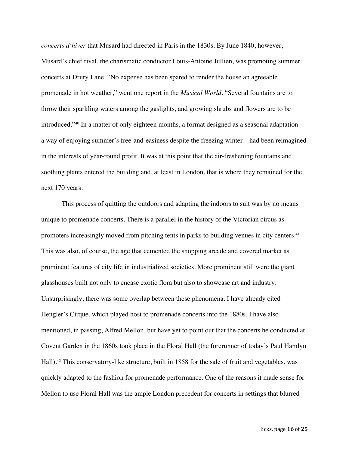*concerts d'hiver* that Musard had directed in Paris in the 1830s. By June 1840, however, Musard's chief rival, the charismatic conductor Louis-Antoine Jullien, was promoting summer concerts at Drury Lane. "No expense has been spared to render the house an agreeable promenade in hot weather," went one report in the *Musical World*. "Several fountains are to throw their sparkling waters among the gaslights, and growing shrubs and flowers are to be introduced."40 In a matter of only eighteen months, a format designed as a seasonal adaptation a way of enjoying summer's free-and-easiness despite the freezing winter—had been reimagined in the interests of year-round profit. It was at this point that the air-freshening fountains and soothing plants entered the building and, at least in London, that is where they remained for the next 170 years.

This process of quitting the outdoors and adapting the indoors to suit was by no means unique to promenade concerts. There is a parallel in the history of the Victorian circus as promoters increasingly moved from pitching tents in parks to building venues in city centers.<sup>41</sup> This was also, of course, the age that cemented the shopping arcade and covered market as prominent features of city life in industrialized societies. More prominent still were the giant glasshouses built not only to encase exotic flora but also to showcase art and industry. Unsurprisingly, there was some overlap between these phenomena. I have already cited Hengler's Cirque, which played host to promenade concerts into the 1880s. I have also mentioned, in passing, Alfred Mellon, but have yet to point out that the concerts he conducted at Covent Garden in the 1860s took place in the Floral Hall (the forerunner of today's Paul Hamlyn Hall).<sup>42</sup> This conservatory-like structure, built in 1858 for the sale of fruit and vegetables, was quickly adapted to the fashion for promenade performance. One of the reasons it made sense for Mellon to use Floral Hall was the ample London precedent for concerts in settings that blurred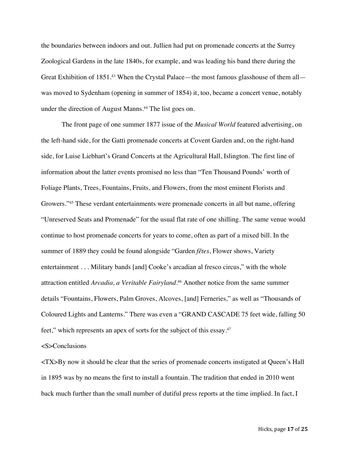the boundaries between indoors and out. Jullien had put on promenade concerts at the Surrey Zoological Gardens in the late 1840s, for example, and was leading his band there during the Great Exhibition of 1851.<sup>43</sup> When the Crystal Palace—the most famous glasshouse of them all was moved to Sydenham (opening in summer of 1854) it, too, became a concert venue, notably under the direction of August Manns.<sup>44</sup> The list goes on.

The front page of one summer 1877 issue of the *Musical World* featured advertising, on the left-hand side, for the Gatti promenade concerts at Covent Garden and, on the right-hand side, for Luise Liebhart's Grand Concerts at the Agricultural Hall, Islington. The first line of information about the latter events promised no less than "Ten Thousand Pounds' worth of Foliage Plants, Trees, Fountains, Fruits, and Flowers, from the most eminent Florists and Growers."45 These verdant entertainments were promenade concerts in all but name, offering "Unreserved Seats and Promenade" for the usual flat rate of one shilling. The same venue would continue to host promenade concerts for years to come, often as part of a mixed bill. In the summer of 1889 they could be found alongside "Garden *fêtes*, Flower shows, Variety entertainment . . . Military bands [and] Cooke's arcadian al fresco circus," with the whole attraction entitled *Arcadia, a Veritable Fairyland*. <sup>46</sup> Another notice from the same summer details "Fountains, Flowers, Palm Groves, Alcoves, [and] Ferneries," as well as "Thousands of Coloured Lights and Lanterns." There was even a "GRAND CASCADE 75 feet wide, falling 50 feet," which represents an apex of sorts for the subject of this essay.<sup>47</sup>

<S>Conclusions

<TX>By now it should be clear that the series of promenade concerts instigated at Queen's Hall in 1895 was by no means the first to install a fountain. The tradition that ended in 2010 went back much further than the small number of dutiful press reports at the time implied. In fact, I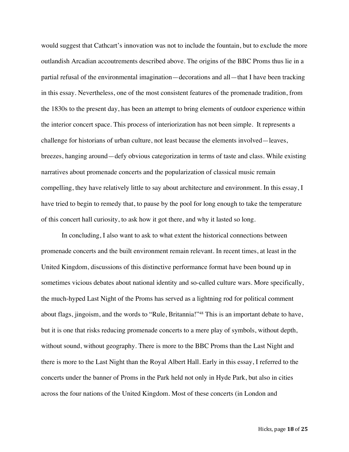would suggest that Cathcart's innovation was not to include the fountain, but to exclude the more outlandish Arcadian accoutrements described above. The origins of the BBC Proms thus lie in a partial refusal of the environmental imagination—decorations and all—that I have been tracking in this essay. Nevertheless, one of the most consistent features of the promenade tradition, from the 1830s to the present day, has been an attempt to bring elements of outdoor experience within the interior concert space. This process of interiorization has not been simple. It represents a challenge for historians of urban culture, not least because the elements involved—leaves, breezes, hanging around—defy obvious categorization in terms of taste and class. While existing narratives about promenade concerts and the popularization of classical music remain compelling, they have relatively little to say about architecture and environment. In this essay, I have tried to begin to remedy that, to pause by the pool for long enough to take the temperature of this concert hall curiosity, to ask how it got there, and why it lasted so long.

In concluding, I also want to ask to what extent the historical connections between promenade concerts and the built environment remain relevant. In recent times, at least in the United Kingdom, discussions of this distinctive performance format have been bound up in sometimes vicious debates about national identity and so-called culture wars. More specifically, the much-hyped Last Night of the Proms has served as a lightning rod for political comment about flags, jingoism, and the words to "Rule, Britannia!"48 This is an important debate to have, but it is one that risks reducing promenade concerts to a mere play of symbols, without depth, without sound, without geography. There is more to the BBC Proms than the Last Night and there is more to the Last Night than the Royal Albert Hall. Early in this essay, I referred to the concerts under the banner of Proms in the Park held not only in Hyde Park, but also in cities across the four nations of the United Kingdom. Most of these concerts (in London and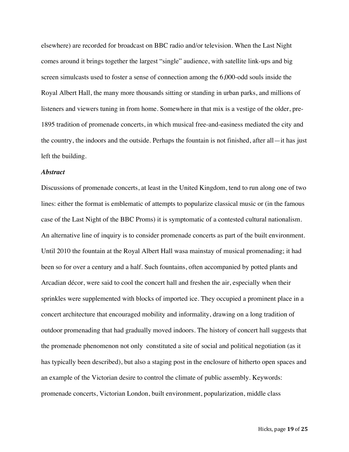elsewhere) are recorded for broadcast on BBC radio and/or television. When the Last Night comes around it brings together the largest "single" audience, with satellite link-ups and big screen simulcasts used to foster a sense of connection among the 6,000-odd souls inside the Royal Albert Hall, the many more thousands sitting or standing in urban parks, and millions of listeners and viewers tuning in from home. Somewhere in that mix is a vestige of the older, pre-1895 tradition of promenade concerts, in which musical free-and-easiness mediated the city and the country, the indoors and the outside. Perhaps the fountain is not finished, after all—it has just left the building.

## *Abstract*

Discussions of promenade concerts, at least in the United Kingdom, tend to run along one of two lines: either the format is emblematic of attempts to popularize classical music or (in the famous case of the Last Night of the BBC Proms) it is symptomatic of a contested cultural nationalism. An alternative line of inquiry is to consider promenade concerts as part of the built environment. Until 2010 the fountain at the Royal Albert Hall wasa mainstay of musical promenading; it had been so for over a century and a half. Such fountains, often accompanied by potted plants and Arcadian décor, were said to cool the concert hall and freshen the air, especially when their sprinkles were supplemented with blocks of imported ice. They occupied a prominent place in a concert architecture that encouraged mobility and informality, drawing on a long tradition of outdoor promenading that had gradually moved indoors. The history of concert hall suggests that the promenade phenomenon not only constituted a site of social and political negotiation (as it has typically been described), but also a staging post in the enclosure of hitherto open spaces and an example of the Victorian desire to control the climate of public assembly. Keywords: promenade concerts, Victorian London, built environment, popularization, middle class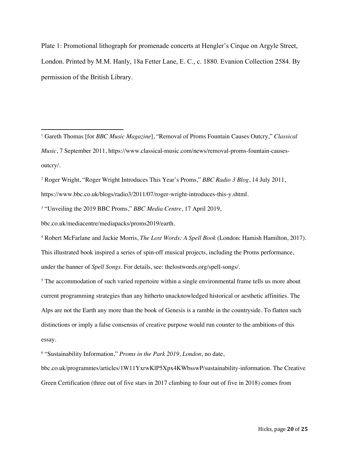Plate 1: Promotional lithograph for promenade concerts at Hengler's Cirque on Argyle Street, London. Printed by M.M. Hanly, 18a Fetter Lane, E. C., c. 1880. Evanion Collection 2584. By permission of the British Library.

<sup>1</sup> Gareth Thomas [for *BBC Music Magazine*], "Removal of Proms Fountain Causes Outcry," *Classical Music*, 7 September 2011, https://www.classical-music.com/news/removal-proms-fountain-causesoutcry/.

<sup>2</sup> Roger Wright, "Roger Wright Introduces This Year's Proms," *BBC Radio 3 Blog*, 14 July 2011,

https://www.bbc.co.uk/blogs/radio3/2011/07/roger-wright-introduces-this-y.shtml.

<sup>3</sup> "Unveiling the 2019 BBC Proms," *BBC Media Centre*, 17 April 2019,

bbc.co.uk/mediacentre/mediapacks/proms2019/earth.

<sup>4</sup> Robert McFarlane and Jackie Morris, *The Lost Words: A Spell Book* (London: Hamish Hamilton, 2017). This illustrated book inspired a series of spin-off musical projects, including the Proms performance, under the banner of *Spell Songs*. For details, see: thelostwords.org/spell-songs/.

<sup>5</sup> The accommodation of such varied repertoire within a single environmental frame tells us more about current programming strategies than any hitherto unacknowledged historical or aesthetic affinities. The Alps are not the Earth any more than the book of Genesis is a ramble in the countryside. To flatten such distinctions or imply a false consensus of creative purpose would run counter to the ambitions of this essay.

<sup>6</sup> "Sustainability Information," *Proms in the Park 2019, London*, no date,

bbc.co.uk/programmes/articles/1W11YxrwKlP5Xpx4KWbsswP/sustainability-information. The Creative Green Certification (three out of five stars in 2017 climbing to four out of five in 2018) comes from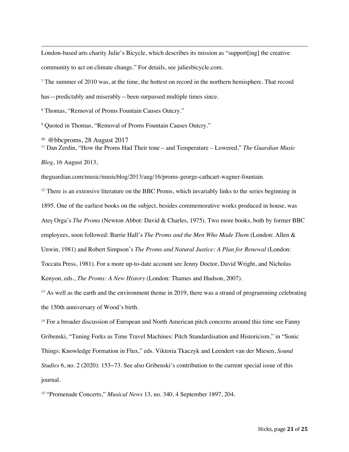London-based arts charity Julie's Bicycle, which describes its mission as "support[ing] the creative community to act on climate change." For details, see juliesbicycle.com.

<sup>7</sup> The summer of 2010 was, at the time, the hottest on record in the northern hemisphere. That record has—predictably and miserably—been surpassed multiple times since.

<sup>8</sup> Thomas, "Removal of Proms Fountain Causes Outcry."

<sup>9</sup> Quoted in Thomas, "Removal of Proms Fountain Causes Outcry."

<sup>10</sup> @bbcproms, 28 August 2017 <sup>11</sup> Dan Zerdin, "How the Proms Had Their tone – and Temperature – Lowered," *The Guardian Music* 

*Blog*, 16 August 2013,

theguardian.com/music/musicblog/2013/aug/16/proms-george-cathcart-wagner-fountain.

<sup>12</sup> There is an extensive literature on the BBC Proms, which invariably links to the series beginning in 1895. One of the earliest books on the subject, besides commemorative works produced in house, was Ateș Orga's *The Proms* (Newton Abbot: David & Charles, 1975). Two more books, both by former BBC employees, soon followed: Barrie Hall's *The Proms and the Men Who Made Them* (London: Allen & Unwin, 1981) and Robert Simpson's *The Proms and Natural Justice: A Plan for Renewal* (London: Toccata Press, 1981). For a more up-to-date account see Jenny Doctor, David Wright, and Nicholas Kenyon, eds., *The Proms: A New History* (London: Thames and Hudson, 2007).

<sup>13</sup> As well as the earth and the environment theme in 2019, there was a strand of programming celebrating the 150th anniversary of Wood's birth.

<sup>14</sup> For a broader discussion of European and North American pitch concerns around this time see Fanny Gribenski, "Tuning Forks as Time Travel Machines: Pitch Standardisation and Historicism," in "Sonic Things: Knowledge Formation in Flux," eds. Viktoria Tkaczyk and Leendert van der Miesen, *Sound Studies* 6, no. 2 (2020): 153−73. See also Gribenski's contribution to the current special issue of this journal.

<sup>15</sup> "Promenade Concerts," *Musical News* 13, no. 340, 4 September 1897, 204.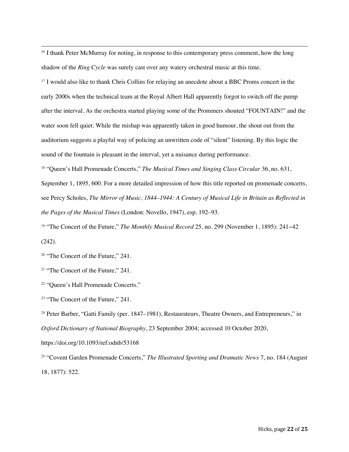<sup>16</sup> I thank Peter McMurray for noting, in response to this contemporary press comment, how the long shadow of the *Ring Cycle* was surely cast over any watery orchestral music at this time.

<sup>17</sup> I would also like to thank Chris Collins for relaying an anecdote about a BBC Proms concert in the early 2000s when the technical team at the Royal Albert Hall apparently forgot to switch off the pump after the interval. As the orchestra started playing some of the Prommers shouted "FOUNTAIN!" and the water soon fell quiet. While the mishap was apparently taken in good humour, the shout out from the auditorium suggests a playful way of policing an unwritten code of "silent" listening. By this logic the sound of the fountain is pleasant in the interval, yet a nuisance during performance.

<sup>18</sup> "Queen's Hall Promenade Concerts," *The Musical Times and Singing Class Circular* 36, no. 631, September 1, 1895, 600. For a more detailed impression of how this title reported on promenade concerts, see Percy Scholes, *The Mirror of Music, 1844–1944: A Century of Musical Life in Britain as Reflected in the Pages of the Musical Times* (London: Novello, 1947), esp. 192–93.

<sup>19</sup> "The Concert of the Future," *The Monthly Musical Record* 25, no. 299 (November 1, 1895): 241−42 (242).

<sup>20</sup> "The Concert of the Future," 241.

<sup>21</sup> "The Concert of the Future," 241.

<sup>22</sup> "Queen's Hall Promenade Concerts."

<sup>23</sup> "The Concert of the Future," 241.

<sup>24</sup> Peter Barber, "Gatti Family (per. 1847–1981), Restaurateurs, Theatre Owners, and Entrepreneurs," in *Oxford Dictionary of National Biography*, 23 September 2004; accessed 10 October 2020,

https://doi.org/10.1093/ref:odnb/53168

<sup>25</sup> "Covent Garden Promenade Concerts," *The Illustrated Sporting and Dramatic News* 7, no. 184 (August 18, 1877): 522.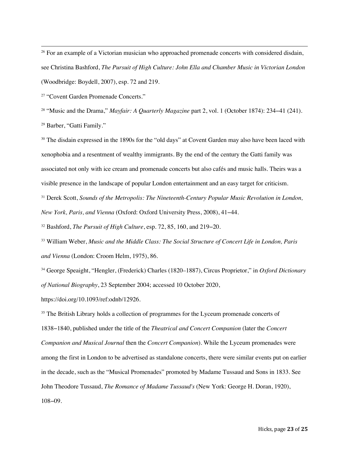<sup>26</sup> For an example of a Victorian musician who approached promenade concerts with considered disdain, see Christina Bashford, *The Pursuit of High Culture: John Ella and Chamber Music in Victorian London* (Woodbridge: Boydell, 2007), esp. 72 and 219.

<sup>27</sup> "Covent Garden Promenade Concerts."

<sup>28</sup> "Music and the Drama," *Mayfair: A Quarterly Magazine* part 2, vol. 1 (October 1874): 234−41 (241).

<sup>29</sup> Barber, "Gatti Family."

<sup>30</sup> The disdain expressed in the 1890s for the "old days" at Covent Garden may also have been laced with xenophobia and a resentment of wealthy immigrants. By the end of the century the Gatti family was associated not only with ice cream and promenade concerts but also cafés and music halls. Theirs was a visible presence in the landscape of popular London entertainment and an easy target for criticism.

<sup>31</sup> Derek Scott, *Sounds of the Metropolis: The Nineteenth-Century Popular Music Revolution in London, New York, Paris, and Vienna* (Oxford: Oxford University Press, 2008), 41−44.

<sup>32</sup> Bashford, *The Pursuit of High Culture*, esp. 72, 85, 160, and 219−20.

<sup>33</sup> William Weber, *Music and the Middle Class: The Social Structure of Concert Life in London, Paris and Vienna* (London: Croom Helm, 1975), 86.

<sup>34</sup> George Speaight, "Hengler, (Frederick) Charles (1820–1887), Circus Proprietor," in *Oxford Dictionary of National Biography*, 23 September 2004; accessed 10 October 2020,

https://doi.org/10.1093/ref:odnb/12926.

<sup>35</sup> The British Library holds a collection of programmes for the Lyceum promenade concerts of 1838−1840, published under the title of the *Theatrical and Concert Companion* (later the *Concert Companion and Musical Journal* then the *Concert Companion*). While the Lyceum promenades were among the first in London to be advertised as standalone concerts, there were similar events put on earlier in the decade, such as the "Musical Promenades" promoted by Madame Tussaud and Sons in 1833. See John Theodore Tussaud, *The Romance of Madame Tussaud's* (New York: George H. Doran, 1920), 108−09.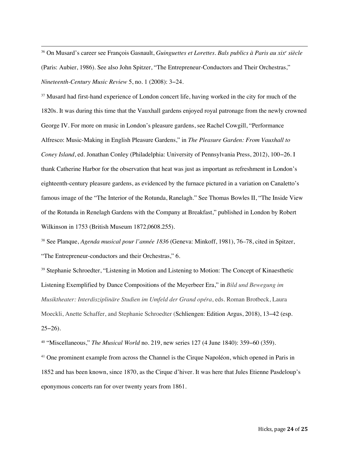<sup>36</sup> On Musard's career see François Gasnault, *Guinguettes et Lorettes. Bals publics à Paris au xixe siècle* (Paris: Aubier, 1986). See also John Spitzer, "The Entrepreneur-Conductors and Their Orchestras," *Nineteenth-Century Music Review* 5, no. 1 (2008): 3−24.

<sup>37</sup> Musard had first-hand experience of London concert life, having worked in the city for much of the 1820s. It was during this time that the Vauxhall gardens enjoyed royal patronage from the newly crowned George IV. For more on music in London's pleasure gardens, see Rachel Cowgill, "Performance Alfresco: Music-Making in English Pleasure Gardens," in *The Pleasure Garden: From Vauxhall to Coney Island*, ed. Jonathan Conley (Philadelphia: University of Pennsylvania Press, 2012), 100−26. I thank Catherine Harbor for the observation that heat was just as important as refreshment in London's eighteenth-century pleasure gardens, as evidenced by the furnace pictured in a variation on Canaletto's famous image of the "The Interior of the Rotunda, Ranelagh." See Thomas Bowles II, "The Inside View of the Rotunda in Renelagh Gardens with the Company at Breakfast," published in London by Robert Wilkinson in 1753 (British Museum 1872,0608.255).

<sup>38</sup> See Planque, *Agenda musical pour l'année 1836* (Geneva: Minkoff, 1981), 76–78, cited in Spitzer, "The Entrepreneur-conductors and their Orchestras," 6.

<sup>39</sup> Stephanie Schroedter, "Listening in Motion and Listening to Motion: The Concept of Kinaesthetic Listening Exemplified by Dance Compositions of the Meyerbeer Era," in *Bild und Bewegung im Musiktheater: Interdisziplinäre Studien im Umfeld der Grand opéra*, eds. Roman Brotbeck, Laura Moeckli, Anette Schaffer, and Stephanie Schroedter (Schliengen: Edition Argus, 2018), 13−42 (esp.  $25-26$ ).

<sup>40</sup> "Miscellaneous," *The Musical World* no. 219, new series 127 (4 June 1840): 359−60 (359).

<sup>41</sup> One prominent example from across the Channel is the Cirque Napoléon, which opened in Paris in 1852 and has been known, since 1870, as the Cirque d'hiver. It was here that Jules Etienne Pasdeloup's eponymous concerts ran for over twenty years from 1861.